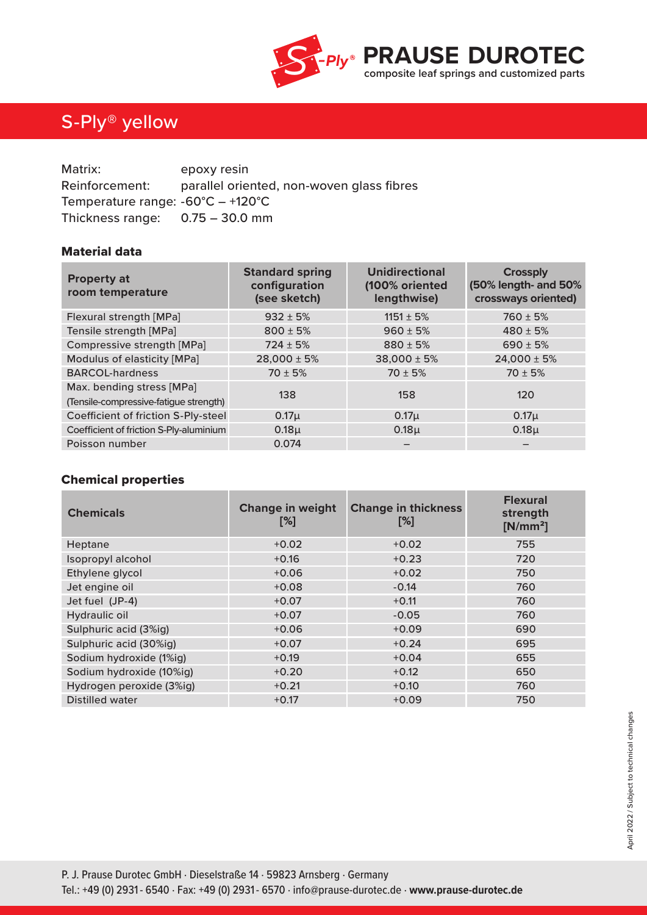

## S-Ply® yellow

| Matrix:                                           | epoxy resin                               |
|---------------------------------------------------|-------------------------------------------|
| Reinforcement:                                    | parallel oriented, non-woven glass fibres |
| Temperature range: $-60^{\circ}C - +120^{\circ}C$ |                                           |
| Thickness range: $0.75 - 30.0$ mm                 |                                           |

### Material data

| <b>Property at</b><br>room temperature                              | <b>Standard spring</b><br>configuration<br>(see sketch) | <b>Unidirectional</b><br>(100% oriented<br>lengthwise) | <b>Crossply</b><br>(50% length- and 50%<br>crossways oriented) |
|---------------------------------------------------------------------|---------------------------------------------------------|--------------------------------------------------------|----------------------------------------------------------------|
| Flexural strength [MPa]                                             | $932 \pm 5%$                                            | $1151 \pm 5\%$                                         | $760 \pm 5%$                                                   |
| Tensile strength [MPa]                                              | $800 \pm 5%$                                            | $960 \pm 5%$                                           | $480 \pm 5%$                                                   |
| Compressive strength [MPa]                                          | $724 \pm 5%$                                            | $880 \pm 5%$                                           | $690 \pm 5%$                                                   |
| Modulus of elasticity [MPa]                                         | $28,000 \pm 5\%$                                        | $38,000 \pm 5%$                                        | $24,000 \pm 5%$                                                |
| <b>BARCOL-hardness</b>                                              | $70 \pm 5%$                                             | $70 \pm 5%$                                            | $70 \pm 5%$                                                    |
| Max. bending stress [MPa]<br>(Tensile-compressive-fatigue strength) | 138                                                     | 158                                                    | 120                                                            |
| Coefficient of friction S-Ply-steel                                 | $0.17\mu$                                               | $0.17\mu$                                              | $0.17\mu$                                                      |
| Coefficient of friction S-Ply-aluminium                             | $0.18\mu$                                               | 0.18 <sub>µ</sub>                                      | $0.18\mu$                                                      |
| Poisson number                                                      | 0.074                                                   |                                                        |                                                                |

### Chemical properties

| <b>Chemicals</b>         | <b>Change in weight</b><br>[%] | <b>Change in thickness</b><br>[%] | <b>Flexural</b><br>strength<br>$[N/mm^2]$ |
|--------------------------|--------------------------------|-----------------------------------|-------------------------------------------|
| Heptane                  | $+0.02$                        | $+0.02$                           | 755                                       |
| Isopropyl alcohol        | $+0.16$                        | $+0.23$                           | 720                                       |
| Ethylene glycol          | $+0.06$                        | $+0.02$                           | 750                                       |
| Jet engine oil           | $+0.08$                        | $-0.14$                           | 760                                       |
| Jet fuel (JP-4)          | $+0.07$                        | $+0.11$                           | 760                                       |
| Hydraulic oil            | $+0.07$                        | $-0.05$                           | 760                                       |
| Sulphuric acid (3%ig)    | $+0.06$                        | $+0.09$                           | 690                                       |
| Sulphuric acid (30%ig)   | $+0.07$                        | $+0.24$                           | 695                                       |
| Sodium hydroxide (1%ig)  | $+0.19$                        | $+0.04$                           | 655                                       |
| Sodium hydroxide (10%ig) | $+0.20$                        | $+0.12$                           | 650                                       |
| Hydrogen peroxide (3%ig) | $+0.21$                        | $+0.10$                           | 760                                       |
| <b>Distilled water</b>   | $+0.17$                        | $+0.09$                           | 750                                       |